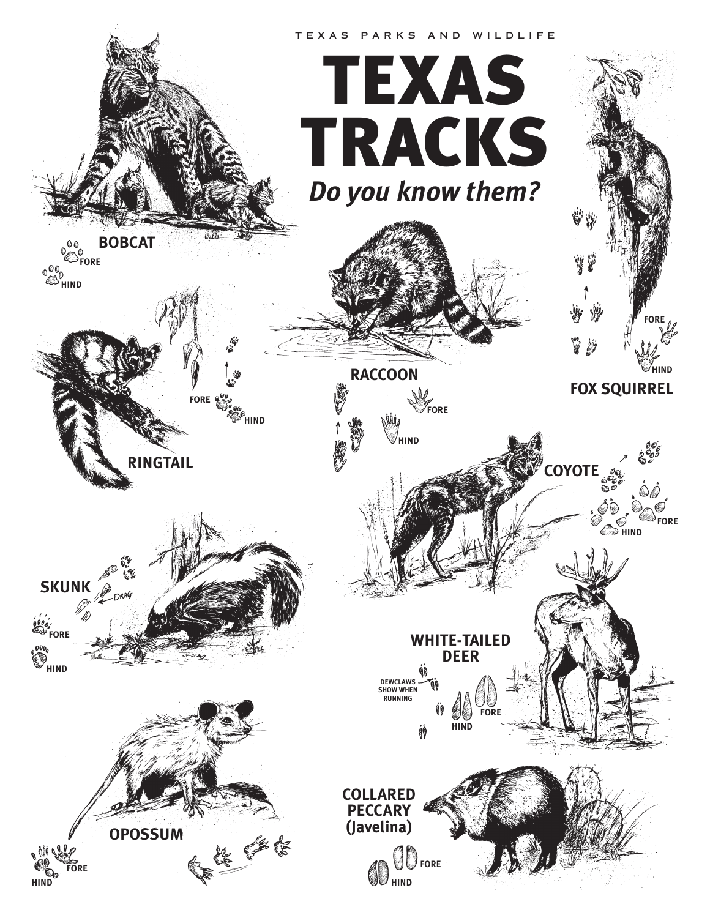